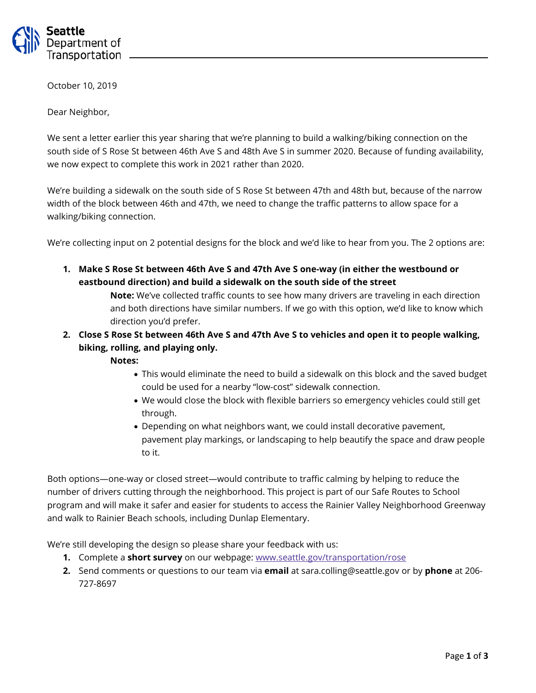

October 10, 2019

Dear Neighbor,

We sent a letter earlier this year sharing that we're planning to build a walking/biking connection on the south side of S Rose St between 46th Ave S and 48th Ave S in summer 2020. Because of funding availability, we now expect to complete this work in 2021 rather than 2020.

We're building a sidewalk on the south side of S Rose St between 47th and 48th but, because of the narrow width of the block between 46th and 47th, we need to change the traffic patterns to allow space for a walking/biking connection.

We're collecting input on 2 potential designs for the block and we'd like to hear from you. The 2 options are:

**1. Make S Rose St between 46th Ave S and 47th Ave S one-way (in either the westbound or eastbound direction) and build a sidewalk on the south side of the street**

> **Note:** We've collected traffic counts to see how many drivers are traveling in each direction and both directions have similar numbers. If we go with this option, we'd like to know which direction you'd prefer.

**2. Close S Rose St between 46th Ave S and 47th Ave S to vehicles and open it to people walking, biking, rolling, and playing only.** 

**Notes:**

- This would eliminate the need to build a sidewalk on this block and the saved budget could be used for a nearby "low-cost" sidewalk connection.
- We would close the block with flexible barriers so emergency vehicles could still get through.
- Depending on what neighbors want, we could install decorative pavement, pavement play markings, or landscaping to help beautify the space and draw people to it.

Both options—one-way or closed street—would contribute to traffic calming by helping to reduce the number of drivers cutting through the neighborhood. This project is part of our Safe Routes to School program and will make it safer and easier for students to access the Rainier Valley Neighborhood Greenway and walk to Rainier Beach schools, including Dunlap Elementary.

We're still developing the design so please share your feedback with us:

- **1.** Complete a **short survey** on our webpage: [www.seattle.gov/transportation/rose](http://www.seattle.gov/transportation/rose)
- **2.** Send comments or questions to our team via **email** at sara.colling@seattle.gov or by **phone** at 206- 727-8697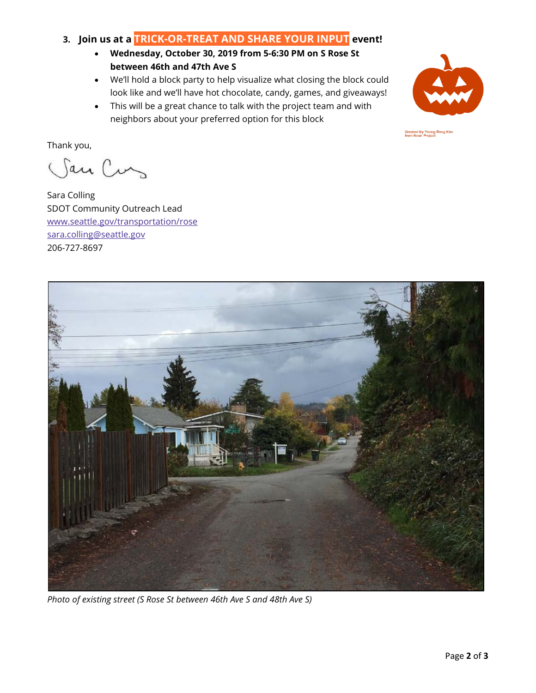## **3. Join us at a TRICK-OR-TREAT AND SHARE YOUR INPUT event!**

- **Wednesday, October 30, 2019 from 5-6:30 PM on S Rose St between 46th and 47th Ave S**
- We'll hold a block party to help visualize what closing the block could look like and we'll have hot chocolate, candy, games, and giveaways!
- This will be a great chance to talk with the project team and with neighbors about your preferred option for this block



Created by Yeong Rong Kim<br>from Noun Project

Thank you,

San Cus

Sara Colling SDOT Community Outreach Lead [www.seattle.gov/transportation/rose](http://www.seattle.gov/transportation/rose) [sara.colling@seattle.gov](mailto:sara.colling@seattle.gov) 206-727-8697



*Photo of existing street (S Rose St between 46th Ave S and 48th Ave S)*